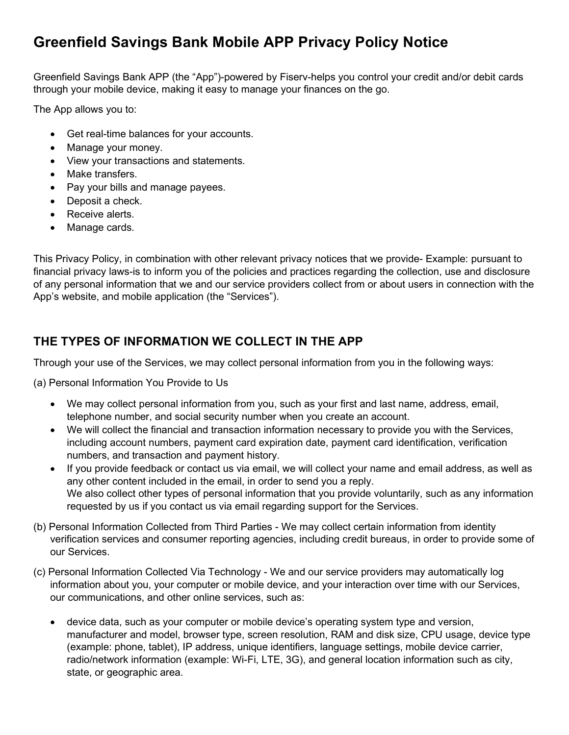# Greenfield Savings Bank Mobile APP Privacy Policy Notice

Greenfield Savings Bank APP (the "App")-powered by Fiserv-helps you control your credit and/or debit cards through your mobile device, making it easy to manage your finances on the go.

The App allows you to:

- Get real-time balances for your accounts.
- Manage your money.
- View your transactions and statements.
- Make transfers.
- Pay your bills and manage payees.
- Deposit a check.
- Receive alerts.
- Manage cards.

This Privacy Policy, in combination with other relevant privacy notices that we provide- Example: pursuant to financial privacy laws-is to inform you of the policies and practices regarding the collection, use and disclosure of any personal information that we and our service providers collect from or about users in connection with the App's website, and mobile application (the "Services").

### THE TYPES OF INFORMATION WE COLLECT IN THE APP

Through your use of the Services, we may collect personal information from you in the following ways:

(a) Personal Information You Provide to Us

- We may collect personal information from you, such as your first and last name, address, email, telephone number, and social security number when you create an account.
- We will collect the financial and transaction information necessary to provide you with the Services, including account numbers, payment card expiration date, payment card identification, verification numbers, and transaction and payment history.
- If you provide feedback or contact us via email, we will collect your name and email address, as well as any other content included in the email, in order to send you a reply. We also collect other types of personal information that you provide voluntarily, such as any information requested by us if you contact us via email regarding support for the Services.
- (b) Personal Information Collected from Third Parties We may collect certain information from identity verification services and consumer reporting agencies, including credit bureaus, in order to provide some of our Services.
- (c) Personal Information Collected Via Technology We and our service providers may automatically log information about you, your computer or mobile device, and your interaction over time with our Services, our communications, and other online services, such as:
	- device data, such as your computer or mobile device's operating system type and version, manufacturer and model, browser type, screen resolution, RAM and disk size, CPU usage, device type (example: phone, tablet), IP address, unique identifiers, language settings, mobile device carrier, radio/network information (example: Wi-Fi, LTE, 3G), and general location information such as city, state, or geographic area.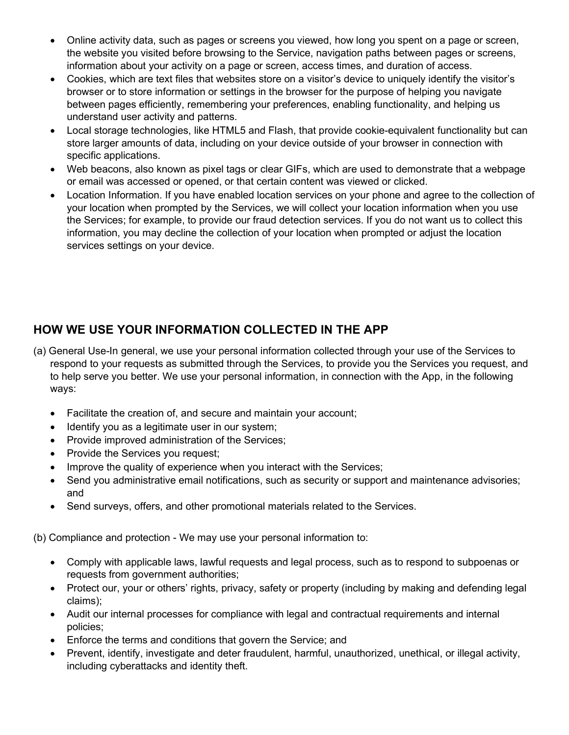- Online activity data, such as pages or screens you viewed, how long you spent on a page or screen, the website you visited before browsing to the Service, navigation paths between pages or screens, information about your activity on a page or screen, access times, and duration of access.
- Cookies, which are text files that websites store on a visitor's device to uniquely identify the visitor's browser or to store information or settings in the browser for the purpose of helping you navigate between pages efficiently, remembering your preferences, enabling functionality, and helping us understand user activity and patterns.
- Local storage technologies, like HTML5 and Flash, that provide cookie-equivalent functionality but can store larger amounts of data, including on your device outside of your browser in connection with specific applications.
- Web beacons, also known as pixel tags or clear GIFs, which are used to demonstrate that a webpage or email was accessed or opened, or that certain content was viewed or clicked.
- Location Information. If you have enabled location services on your phone and agree to the collection of your location when prompted by the Services, we will collect your location information when you use the Services; for example, to provide our fraud detection services. If you do not want us to collect this information, you may decline the collection of your location when prompted or adjust the location services settings on your device.

## HOW WE USE YOUR INFORMATION COLLECTED IN THE APP

- (a) General Use-In general, we use your personal information collected through your use of the Services to respond to your requests as submitted through the Services, to provide you the Services you request, and to help serve you better. We use your personal information, in connection with the App, in the following ways:
	- Facilitate the creation of, and secure and maintain your account;
	- Identify you as a legitimate user in our system;
	- Provide improved administration of the Services;
	- Provide the Services you request;
	- Improve the quality of experience when you interact with the Services;
	- Send you administrative email notifications, such as security or support and maintenance advisories; and
	- Send surveys, offers, and other promotional materials related to the Services.

(b) Compliance and protection - We may use your personal information to:

- Comply with applicable laws, lawful requests and legal process, such as to respond to subpoenas or requests from government authorities;
- Protect our, your or others' rights, privacy, safety or property (including by making and defending legal claims);
- Audit our internal processes for compliance with legal and contractual requirements and internal policies;
- Enforce the terms and conditions that govern the Service; and
- Prevent, identify, investigate and deter fraudulent, harmful, unauthorized, unethical, or illegal activity, including cyberattacks and identity theft.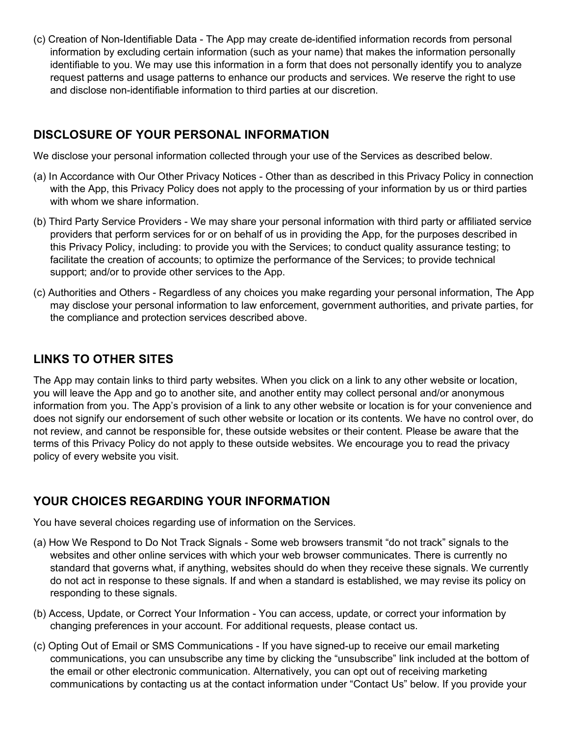(c) Creation of Non-Identifiable Data - The App may create de-identified information records from personal information by excluding certain information (such as your name) that makes the information personally identifiable to you. We may use this information in a form that does not personally identify you to analyze request patterns and usage patterns to enhance our products and services. We reserve the right to use and disclose non-identifiable information to third parties at our discretion.

### DISCLOSURE OF YOUR PERSONAL INFORMATION

We disclose your personal information collected through your use of the Services as described below.

- (a) In Accordance with Our Other Privacy Notices Other than as described in this Privacy Policy in connection with the App, this Privacy Policy does not apply to the processing of your information by us or third parties with whom we share information.
- (b) Third Party Service Providers We may share your personal information with third party or affiliated service providers that perform services for or on behalf of us in providing the App, for the purposes described in this Privacy Policy, including: to provide you with the Services; to conduct quality assurance testing; to facilitate the creation of accounts; to optimize the performance of the Services; to provide technical support; and/or to provide other services to the App.
- (c) Authorities and Others Regardless of any choices you make regarding your personal information, The App may disclose your personal information to law enforcement, government authorities, and private parties, for the compliance and protection services described above.

## LINKS TO OTHER SITES

The App may contain links to third party websites. When you click on a link to any other website or location, you will leave the App and go to another site, and another entity may collect personal and/or anonymous information from you. The App's provision of a link to any other website or location is for your convenience and does not signify our endorsement of such other website or location or its contents. We have no control over, do not review, and cannot be responsible for, these outside websites or their content. Please be aware that the terms of this Privacy Policy do not apply to these outside websites. We encourage you to read the privacy policy of every website you visit.

## YOUR CHOICES REGARDING YOUR INFORMATION

You have several choices regarding use of information on the Services.

- (a) How We Respond to Do Not Track Signals Some web browsers transmit "do not track" signals to the websites and other online services with which your web browser communicates. There is currently no standard that governs what, if anything, websites should do when they receive these signals. We currently do not act in response to these signals. If and when a standard is established, we may revise its policy on responding to these signals.
- (b) Access, Update, or Correct Your Information You can access, update, or correct your information by changing preferences in your account. For additional requests, please contact us.
- (c) Opting Out of Email or SMS Communications If you have signed-up to receive our email marketing communications, you can unsubscribe any time by clicking the "unsubscribe" link included at the bottom of the email or other electronic communication. Alternatively, you can opt out of receiving marketing communications by contacting us at the contact information under "Contact Us" below. If you provide your